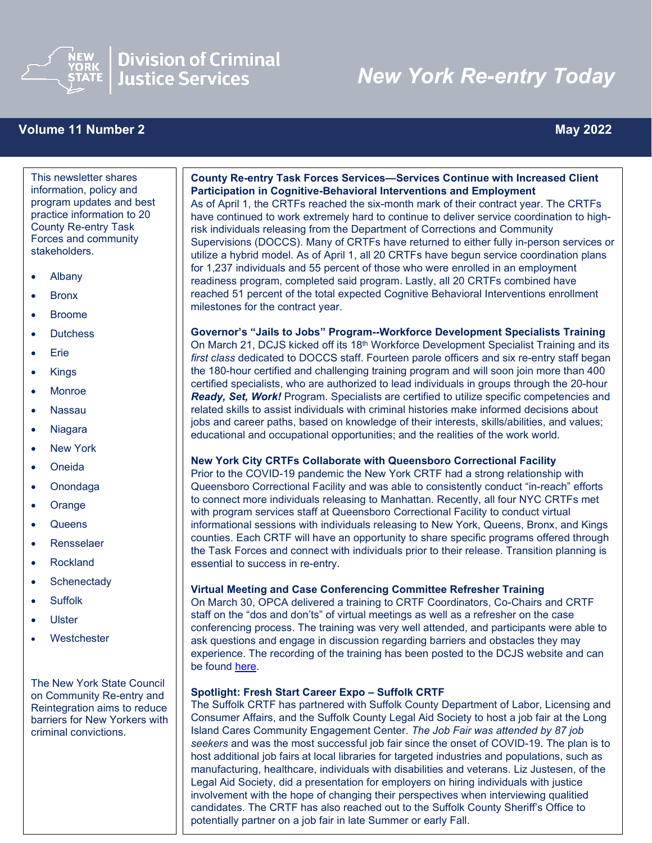

## **Division of Criminal Justice Services**

# *New York Re-entry Today*

### **Volume 11 Number 2** May 2022

 $\overline{a}$ 

This newsletter shares information, policy and program updates and best practice information to 20 County Re-entry Task Forces and community stakeholders.

- Albany
- Bronx
- Broome
- Dutchess
- Erie
- Kings
- Monroe
- Nassau
- Niagara
- New York
- Oneida
- Onondaga
- Orange
- Queens
- Rensselaer
- Rockland
- Schenectady
- Suffolk
- Ulster
- Westchester

The New York State Council on Community Re-entry and Reintegration aims to reduce barriers for New Yorkers with criminal convictions.

#### **County Re-entry Task Forces Services—Services Continue with Increased Client Participation in Cognitive-Behavioral Interventions and Employment**

As of April 1, the CRTFs reached the six-month mark of their contract year. The CRTFs have continued to work extremely hard to continue to deliver service coordination to highrisk individuals releasing from the Department of Corrections and Community Supervisions (DOCCS). Many of CRTFs have returned to either fully in-person services or utilize a hybrid model. As of April 1, all 20 CRTFs have begun service coordination plans for 1,237 individuals and 55 percent of those who were enrolled in an employment readiness program, completed said program. Lastly, all 20 CRTFs combined have reached 51 percent of the total expected Cognitive Behavioral Interventions enrollment milestones for the contract year.

**Governor's "Jails to Jobs" Program--Workforce Development Specialists Training**  On March 21, DCJS kicked off its 18<sup>th</sup> Workforce Development Specialist Training and its *first class* dedicated to DOCCS staff. Fourteen parole officers and six re-entry staff began the 180-hour certified and challenging training program and will soon join more than 400 certified specialists, who are authorized to lead individuals in groups through the 20-hour *Ready, Set, Work!* Program. Specialists are certified to utilize specific competencies and related skills to assist individuals with criminal histories make informed decisions about jobs and career paths, based on knowledge of their interests, skills/abilities, and values; educational and occupational opportunities; and the realities of the work world.

#### **New York City CRTFs Collaborate with Queensboro Correctional Facility**

Prior to the COVID-19 pandemic the New York CRTF had a strong relationship with Queensboro Correctional Facility and was able to consistently conduct "in-reach" efforts to connect more individuals releasing to Manhattan. Recently, all four NYC CRTFs met with program services staff at Queensboro Correctional Facility to conduct virtual informational sessions with individuals releasing to New York, Queens, Bronx, and Kings counties. Each CRTF will have an opportunity to share specific programs offered through the Task Forces and connect with individuals prior to their release. Transition planning is essential to success in re-entry.

#### **Virtual Meeting and Case Conferencing Committee Refresher Training**

On March 30, OPCA delivered a training to CRTF Coordinators, Co-Chairs and CRTF staff on the "dos and don'ts" of virtual meetings as well as a refresher on the case conferencing process. The training was very well attended, and participants were able to ask questions and engage in discussion regarding barriers and obstacles they may experience. The recording of the training has been posted to the DCJS website and can be found [here.](https://youtu.be/PUDTV1YXTus)

#### **Spotlight: Fresh Start Career Expo – Suffolk CRTF**

The Suffolk CRTF has partnered with Suffolk County Department of Labor, Licensing and Consumer Affairs, and the Suffolk County Legal Aid Society to host a job fair at the Long Island Cares Community Engagement Center. *The Job Fair was attended by 87 job seekers* and was the most successful job fair since the onset of COVID-19. The plan is to host additional job fairs at local libraries for targeted industries and populations, such as manufacturing, healthcare, individuals with disabilities and veterans. Liz Justesen, of the Legal Aid Society, did a presentation for employers on hiring individuals with justice involvement with the hope of changing their perspectives when interviewing qualitied candidates. The CRTF has also reached out to the Suffolk County Sheriff's Office to potentially partner on a job fair in late Summer or early Fall.